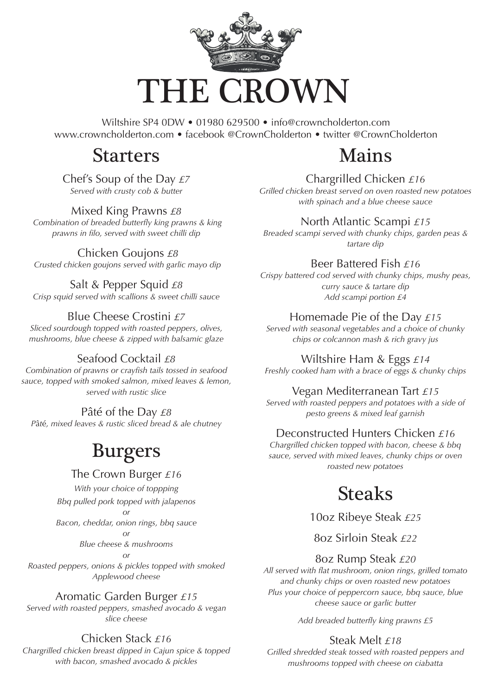

Wiltshire SP4 0DW • 01980 629500 • info@crowncholderton.com www.crowncholderton.com • facebook @CrownCholderton • twitter @CrownCholderton

## Starters

#### Chef's Soup of the Day *£7 Served with crusty cob & butter*

Mixed King Prawns *£8 Combination of breaded butterfly king prawns & king prawns in filo, served with sweet chilli dip*

#### Chicken Goujons *£8*

 *Crusted chicken goujons served with garlic mayo dip*

Salt & Pepper Squid *£8 Crisp squid served with scallions & sweet chilli sauce*

### Blue Cheese Crostini *£7*

*Sliced sourdough topped with roasted peppers, olives, mushrooms, blue cheese & zipped with balsamic glaze*

### Seafood Cocktail *£8*

*Combination of prawns or crayfish tails tossed in seafood sauce, topped with smoked salmon, mixed leaves & lemon, served with rustic slice*

#### Pâté of the Day *£8*

*P*â*t*é*, mixed leaves & rustic sliced bread & ale chutney*

# Burgers

#### The Crown Burger *£16*

*With your choice of toppping*

*Bbq pulled pork topped with jalapenos*

*or Bacon, cheddar, onion rings, bbq sauce*

#### *or*

*Blue cheese & mushrooms*

#### *or*

*Roasted peppers, onions & pickles topped with smoked Applewood cheese*

#### Aromatic Garden Burger *£15*

*Served with roasted peppers, smashed avocado & vegan slice cheese*

## Chicken Stack *£16*

*Chargrilled chicken breast dipped in Cajun spice & topped with bacon, smashed avocado & pickles*

# Mains

Chargrilled Chicken *£16 Grilled chicken breast served on oven roasted new potatoes with spinach and a blue cheese sauce*

North Atlantic Scampi *£15*

*Breaded scampi served with chunky chips, garden peas & tartare dip*

### Beer Battered Fish *£16*

*Crispy battered cod served with chunky chips, mushy peas, curry sauce & tartare dip Add scampi portion £4*

#### Homemade Pie of the Day *£15*

*Served with seasonal vegetables and a choice of chunky chips or colcannon mash & rich gravy jus*

Wiltshire Ham & Eggs *£14 Freshly cooked ham with a brace of eggs & chunky chips*

#### Vegan Mediterranean Tart *£15*

*Served with roasted peppers and potatoes with a side of pesto greens & mixed leaf garnish*

### Deconstructed Hunters Chicken *£16*

*Chargrilled chicken topped with bacon, cheese & bbq sauce, served with mixed leaves, chunky chips or oven roasted new potatoes*

# Steaks

10oz Ribeye Steak *£25*

8oz Sirloin Steak *£22*

### 8oz Rump Steak *£20*

*All served with flat mushroom, onion rings, grilled tomato and chunky chips or oven roasted new potatoes Plus your choice of peppercorn sauce, bbq sauce, blue cheese sauce or garlic butter*

*Add breaded butterfly king prawns £5*

## Steak Melt *£18*

*Grilled shredded steak tossed with roasted peppers and mushrooms topped with cheese on ciabatta*